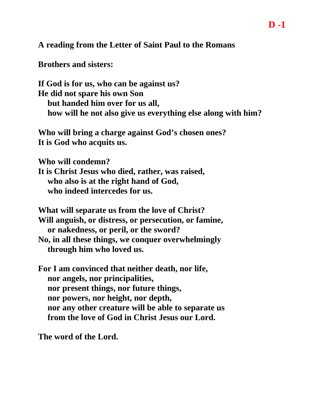**A reading from the Letter of Saint Paul to the Romans** 

**Brothers and sisters:**

**If God is for us, who can be against us? He did not spare his own Son but handed him over for us all, how will he not also give us everything else along with him?**

**Who will bring a charge against God's chosen ones? It is God who acquits us.**

**Who will condemn?**

**It is Christ Jesus who died, rather, was raised, who also is at the right hand of God, who indeed intercedes for us.**

**What will separate us from the love of Christ?**

**Will anguish, or distress, or persecution, or famine, or nakedness, or peril, or the sword?**

**No, in all these things, we conquer overwhelmingly through him who loved us.**

**For I am convinced that neither death, nor life, nor angels, nor principalities, nor present things, nor future things, nor powers, nor height, nor depth, nor any other creature will be able to separate us from the love of God in Christ Jesus our Lord.**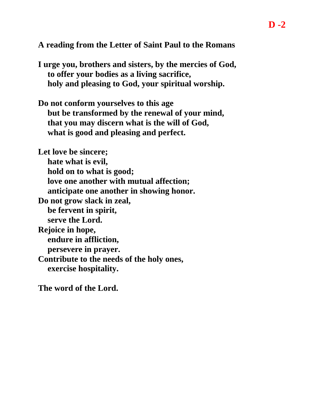**A reading from the Letter of Saint Paul to the Romans** 

**I urge you, brothers and sisters, by the mercies of God, to offer your bodies as a living sacrifice, holy and pleasing to God, your spiritual worship.**

**Do not conform yourselves to this age but be transformed by the renewal of your mind, that you may discern what is the will of God, what is good and pleasing and perfect.**

**Let love be sincere; hate what is evil, hold on to what is good; love one another with mutual affection; anticipate one another in showing honor. Do not grow slack in zeal, be fervent in spirit, serve the Lord. Rejoice in hope, endure in affliction, persevere in prayer. Contribute to the needs of the holy ones, exercise hospitality.**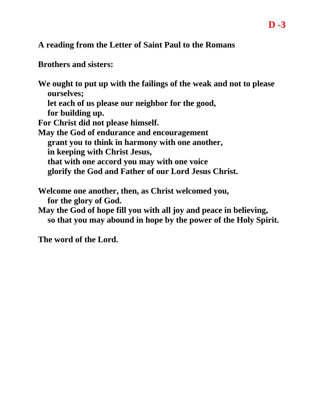**A reading from the Letter of Saint Paul to the Romans** 

**Brothers and sisters:**

**We ought to put up with the failings of the weak and not to please ourselves; let each of us please our neighbor for the good, for building up. For Christ did not please himself. May the God of endurance and encouragement grant you to think in harmony with one another, in keeping with Christ Jesus, that with one accord you may with one voice glorify the God and Father of our Lord Jesus Christ. Welcome one another, then, as Christ welcomed you, for the glory of God. May the God of hope fill you with all joy and peace in believing,**

**so that you may abound in hope by the power of the Holy Spirit.**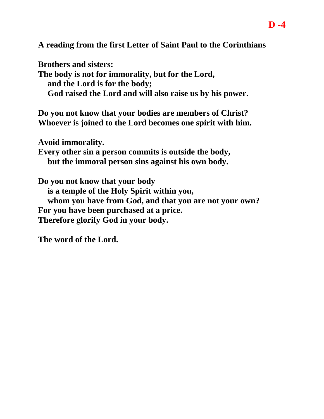**A reading from the first Letter of Saint Paul to the Corinthians** 

**Brothers and sisters: The body is not for immorality, but for the Lord, and the Lord is for the body; God raised the Lord and will also raise us by his power.**

**Do you not know that your bodies are members of Christ? Whoever is joined to the Lord becomes one spirit with him.**

**Avoid immorality.**

**Every other sin a person commits is outside the body, but the immoral person sins against his own body.**

**Do you not know that your body is a temple of the Holy Spirit within you, whom you have from God, and that you are not your own? For you have been purchased at a price. Therefore glorify God in your body.**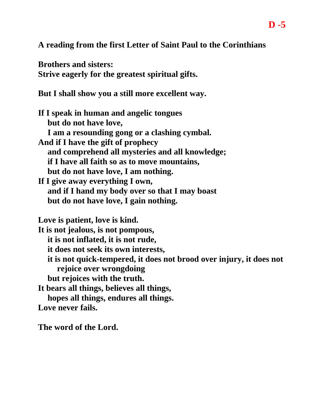**A reading from the first Letter of Saint Paul to the Corinthians**

**Brothers and sisters: Strive eagerly for the greatest spiritual gifts.**

**But I shall show you a still more excellent way.**

**If I speak in human and angelic tongues but do not have love, I am a resounding gong or a clashing cymbal. And if I have the gift of prophecy and comprehend all mysteries and all knowledge; if I have all faith so as to move mountains, but do not have love, I am nothing. If I give away everything I own, and if I hand my body over so that I may boast but do not have love, I gain nothing. Love is patient, love is kind. It is not jealous, is not pompous, it is not inflated, it is not rude, it does not seek its own interests, it is not quick-tempered, it does not brood over injury, it does not rejoice over wrongdoing but rejoices with the truth. It bears all things, believes all things, hopes all things, endures all things.**

**Love never fails.**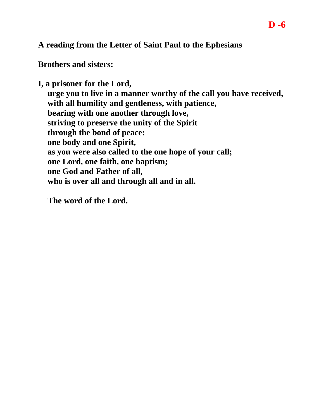# **A reading from the Letter of Saint Paul to the Ephesians**

**Brothers and sisters:**

**I, a prisoner for the Lord, urge you to live in a manner worthy of the call you have received, with all humility and gentleness, with patience, bearing with one another through love, striving to preserve the unity of the Spirit through the bond of peace: one body and one Spirit, as you were also called to the one hope of your call; one Lord, one faith, one baptism; one God and Father of all, who is over all and through all and in all.**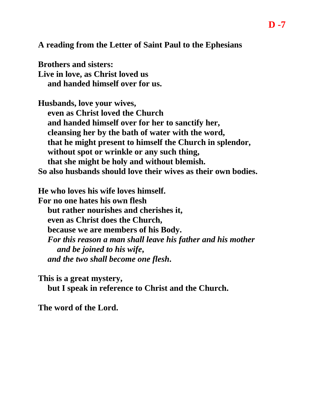**A reading from the Letter of Saint Paul to the Ephesians**

**Brothers and sisters: Live in love, as Christ loved us and handed himself over for us.**

**Husbands, love your wives, even as Christ loved the Church and handed himself over for her to sanctify her, cleansing her by the bath of water with the word, that he might present to himself the Church in splendor, without spot or wrinkle or any such thing, that she might be holy and without blemish. So also husbands should love their wives as their own bodies.**

**He who loves his wife loves himself. For no one hates his own flesh but rather nourishes and cherishes it, even as Christ does the Church, because we are members of his Body.** *For this reason a man shall leave his father and his mother and be joined to his wife***,** *and the two shall become one flesh***.**

**This is a great mystery, but I speak in reference to Christ and the Church.**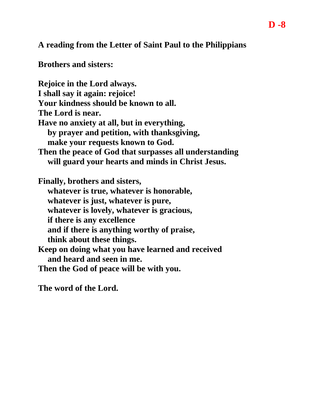**A reading from the Letter of Saint Paul to the Philippians** 

**Brothers and sisters:**

**Rejoice in the Lord always. I shall say it again: rejoice! Your kindness should be known to all. The Lord is near. Have no anxiety at all, but in everything, by prayer and petition, with thanksgiving, make your requests known to God. Then the peace of God that surpasses all understanding will guard your hearts and minds in Christ Jesus. Finally, brothers and sisters, whatever is true, whatever is honorable, whatever is just, whatever is pure, whatever is lovely, whatever is gracious, if there is any excellence and if there is anything worthy of praise, think about these things. Keep on doing what you have learned and received and heard and seen in me. Then the God of peace will be with you.**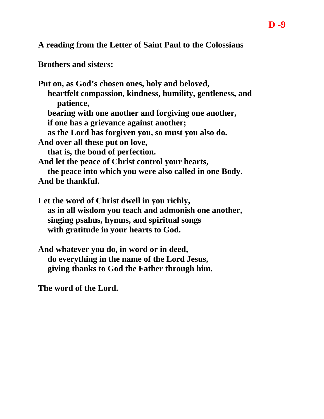**A reading from the Letter of Saint Paul to the Colossians** 

**Brothers and sisters:**

**Put on, as God's chosen ones, holy and beloved, heartfelt compassion, kindness, humility, gentleness, and patience, bearing with one another and forgiving one another, if one has a grievance against another; as the Lord has forgiven you, so must you also do. And over all these put on love, that is, the bond of perfection. And let the peace of Christ control your hearts, the peace into which you were also called in one Body. And be thankful.**

**Let the word of Christ dwell in you richly, as in all wisdom you teach and admonish one another, singing psalms, hymns, and spiritual songs with gratitude in your hearts to God.**

**And whatever you do, in word or in deed, do everything in the name of the Lord Jesus, giving thanks to God the Father through him.**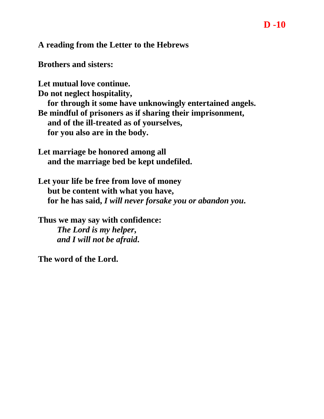## **A reading from the Letter to the Hebrews**

**Brothers and sisters:**

**Let mutual love continue.**

**Do not neglect hospitality,**

**for through it some have unknowingly entertained angels. Be mindful of prisoners as if sharing their imprisonment, and of the ill-treated as of yourselves, for you also are in the body.**

**Let marriage be honored among all and the marriage bed be kept undefiled.**

**Let your life be free from love of money but be content with what you have, for he has said,** *I will never forsake you or abandon you***.**

**Thus we may say with confidence:** *The Lord is my helper***,** *and I will not be afraid***.**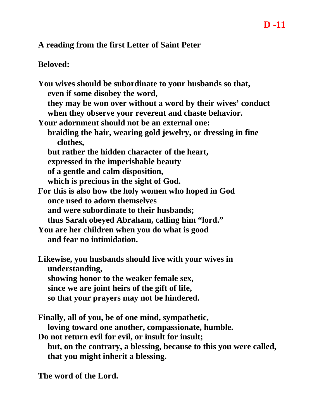### **A reading from the first Letter of Saint Peter**

### **Beloved:**

**You wives should be subordinate to your husbands so that, even if some disobey the word, they may be won over without a word by their wives' conduct when they observe your reverent and chaste behavior. Your adornment should not be an external one: braiding the hair, wearing gold jewelry, or dressing in fine clothes, but rather the hidden character of the heart, expressed in the imperishable beauty of a gentle and calm disposition, which is precious in the sight of God. For this is also how the holy women who hoped in God once used to adorn themselves and were subordinate to their husbands; thus Sarah obeyed Abraham, calling him "lord." You are her children when you do what is good and fear no intimidation. Likewise, you husbands should live with your wives in understanding, showing honor to the weaker female sex, since we are joint heirs of the gift of life, so that your prayers may not be hindered. Finally, all of you, be of one mind, sympathetic,**

**loving toward one another, compassionate, humble.**

**Do not return evil for evil, or insult for insult; but, on the contrary, a blessing, because to this you were called, that you might inherit a blessing.**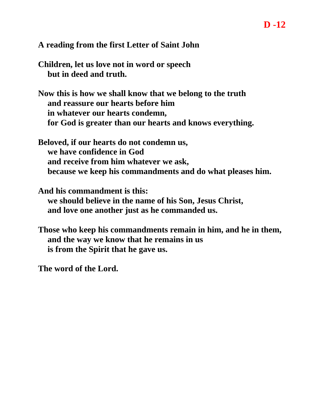# **A reading from the first Letter of Saint John**

- **Children, let us love not in word or speech but in deed and truth.**
- **Now this is how we shall know that we belong to the truth and reassure our hearts before him in whatever our hearts condemn, for God is greater than our hearts and knows everything.**
- **Beloved, if our hearts do not condemn us, we have confidence in God and receive from him whatever we ask, because we keep his commandments and do what pleases him.**
- **And his commandment is this: we should believe in the name of his Son, Jesus Christ, and love one another just as he commanded us.**
- **Those who keep his commandments remain in him, and he in them, and the way we know that he remains in us is from the Spirit that he gave us.**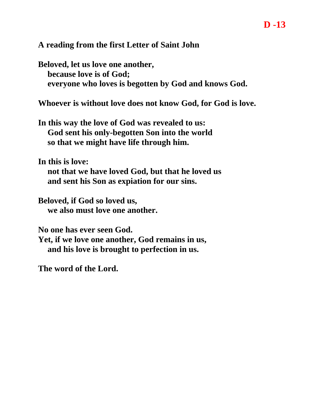#### **A reading from the first Letter of Saint John**

**Beloved, let us love one another, because love is of God; everyone who loves is begotten by God and knows God.**

**Whoever is without love does not know God, for God is love.**

**In this way the love of God was revealed to us: God sent his only-begotten Son into the world so that we might have life through him.**

**In this is love:**

**not that we have loved God, but that he loved us and sent his Son as expiation for our sins.**

**Beloved, if God so loved us, we also must love one another.**

**No one has ever seen God.**

**Yet, if we love one another, God remains in us, and his love is brought to perfection in us.**